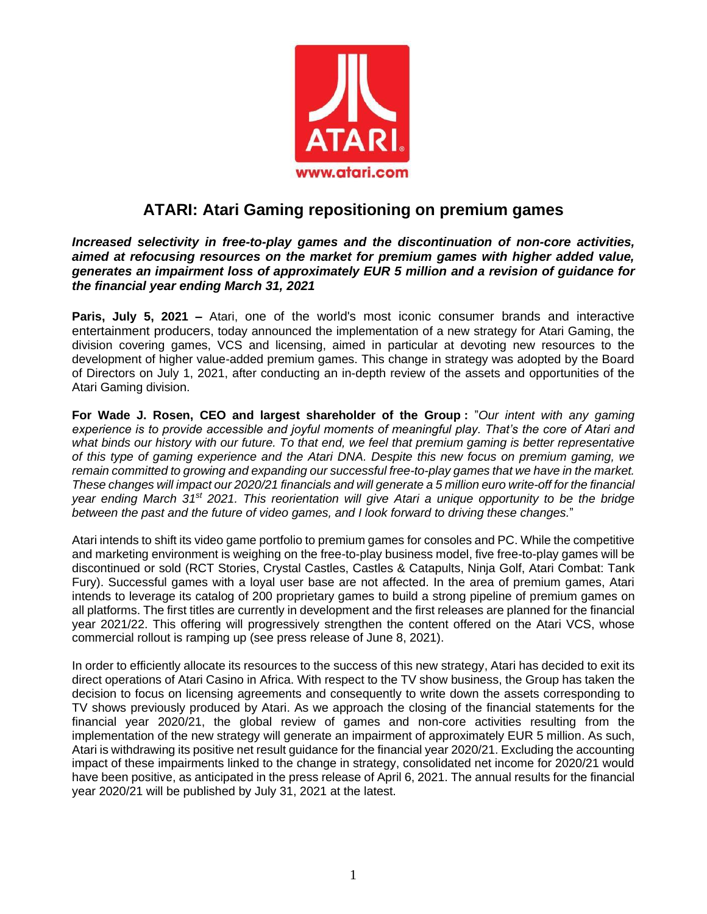

## **ATARI: Atari Gaming repositioning on premium games**

*Increased selectivity in free-to-play games and the discontinuation of non-core activities, aimed at refocusing resources on the market for premium games with higher added value, generates an impairment loss of approximately EUR 5 million and a revision of guidance for the financial year ending March 31, 2021*

**Paris, July 5, 2021 –** Atari, one of the world's most iconic consumer brands and interactive entertainment producers, today announced the implementation of a new strategy for Atari Gaming, the division covering games, VCS and licensing, aimed in particular at devoting new resources to the development of higher value-added premium games. This change in strategy was adopted by the Board of Directors on July 1, 2021, after conducting an in-depth review of the assets and opportunities of the Atari Gaming division.

**For Wade J. Rosen, CEO and largest shareholder of the Group :** "*Our intent with any gaming experience is to provide accessible and joyful moments of meaningful play. That's the core of Atari and what binds our history with our future. To that end, we feel that premium gaming is better representative of this type of gaming experience and the Atari DNA. Despite this new focus on premium gaming, we remain committed to growing and expanding our successful free-to-play games that we have in the market. These changes will impact our 2020/21 financials and will generate a 5 million euro write-off for the financial year ending March 31st 2021. This reorientation will give Atari a unique opportunity to be the bridge between the past and the future of video games, and I look forward to driving these changes.*"

Atari intends to shift its video game portfolio to premium games for consoles and PC. While the competitive and marketing environment is weighing on the free-to-play business model, five free-to-play games will be discontinued or sold (RCT Stories, Crystal Castles, Castles & Catapults, Ninja Golf, Atari Combat: Tank Fury). Successful games with a loyal user base are not affected. In the area of premium games, Atari intends to leverage its catalog of 200 proprietary games to build a strong pipeline of premium games on all platforms. The first titles are currently in development and the first releases are planned for the financial year 2021/22. This offering will progressively strengthen the content offered on the Atari VCS, whose commercial rollout is ramping up (see press release of June 8, 2021).

In order to efficiently allocate its resources to the success of this new strategy, Atari has decided to exit its direct operations of Atari Casino in Africa. With respect to the TV show business, the Group has taken the decision to focus on licensing agreements and consequently to write down the assets corresponding to TV shows previously produced by Atari. As we approach the closing of the financial statements for the financial year 2020/21, the global review of games and non-core activities resulting from the implementation of the new strategy will generate an impairment of approximately EUR 5 million. As such, Atari is withdrawing its positive net result guidance for the financial year 2020/21. Excluding the accounting impact of these impairments linked to the change in strategy, consolidated net income for 2020/21 would have been positive, as anticipated in the press release of April 6, 2021. The annual results for the financial year 2020/21 will be published by July 31, 2021 at the latest.